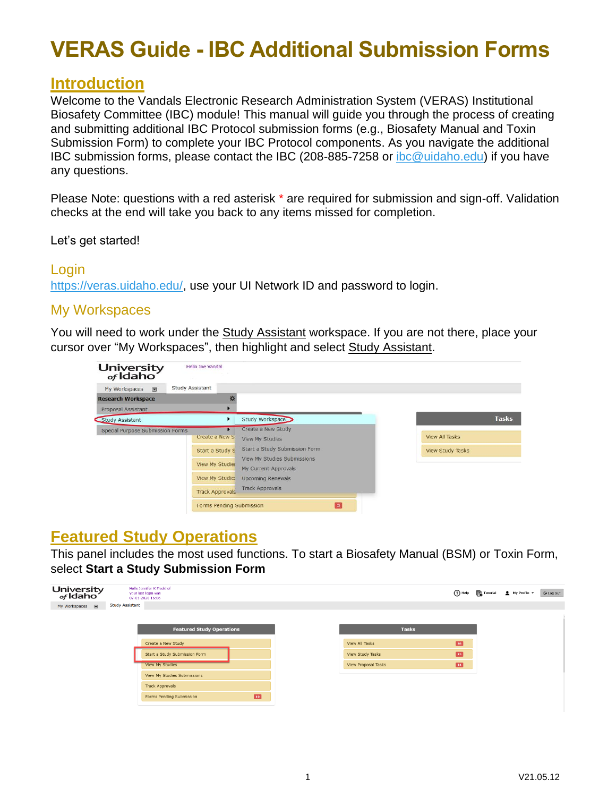### **Introduction**

Welcome to the Vandals Electronic Research Administration System (VERAS) Institutional Biosafety Committee (IBC) module! This manual will guide you through the process of creating and submitting additional IBC Protocol submission forms (e.g., Biosafety Manual and Toxin Submission Form) to complete your IBC Protocol components. As you navigate the additional IBC submission forms, please contact the IBC (208-885-7258 or [ibc@uidaho.edu\)](mailto:ibc@uidaho.edu) if you have any questions.

Please Note: questions with a red asterisk \* are required for submission and sign-off. Validation checks at the end will take you back to any items missed for completion.

Let's get started!

#### Login

[https://veras.uidaho.edu/,](https://veras.uidaho.edu/) use your UI Network ID and password to login.

#### My Workspaces

You will need to work under the Study Assistant workspace. If you are not there, place your cursor over "My Workspaces", then highlight and select Study Assistant.

| University<br><sub>of</sub> Idaho | <b>Hello Joe Vandal</b>                                                                           |                                                                                                                                                                                            |                                                  |
|-----------------------------------|---------------------------------------------------------------------------------------------------|--------------------------------------------------------------------------------------------------------------------------------------------------------------------------------------------|--------------------------------------------------|
| $\blacksquare$<br>My Workspaces   | <b>Study Assistant</b>                                                                            |                                                                                                                                                                                            |                                                  |
| <b>Research Workspace</b>         |                                                                                                   |                                                                                                                                                                                            |                                                  |
| Proposal Assistant                |                                                                                                   |                                                                                                                                                                                            |                                                  |
| Study Assistant                   | ٠                                                                                                 | Study Workspace                                                                                                                                                                            | <b>Tasks</b>                                     |
| Special Purpose Submission Forms  | Create a New S<br>Start a Study S<br>View My Studies<br>View My Studies<br><b>Track Approvals</b> | Create a New Study<br><b>View My Studies</b><br>Start a Study Submission Form<br>View My Studies Submissions<br>My Current Approvals<br><b>Upcoming Renewals</b><br><b>Track Approvals</b> | <b>View All Tasks</b><br><b>View Study Tasks</b> |

### **Featured Study Operations**

This panel includes the most used functions. To start a Biosafety Manual (BSM) or Toxin Form, select **Start a Study Submission Form**

| University<br><sub>of</sub> Idaho |                        | Hello Jennifer K Meekhof<br>your last login was<br>07-01-2020 16:06 |    |                     |              | ⑦ Help <b>□</b> Tutorial | $My$ Profile $\sim$ | $G$ Log out |
|-----------------------------------|------------------------|---------------------------------------------------------------------|----|---------------------|--------------|--------------------------|---------------------|-------------|
| My Workspaces $\blacksquare$      | <b>Study Assistant</b> |                                                                     |    |                     |              |                          |                     |             |
|                                   |                        |                                                                     |    |                     |              |                          |                     |             |
|                                   |                        | <b>Featured Study Operations</b>                                    |    | <b>Tasks</b>        |              |                          |                     |             |
|                                   |                        | Create a New Study                                                  |    | View All Tasks      | $\boxed{28}$ |                          |                     |             |
|                                   |                        | Start a Study Submission Form                                       |    | View Study Tasks    | $\mathbf{E}$ |                          |                     |             |
|                                   |                        | View My Studies                                                     |    | View Proposal Tasks | $\mathbf{m}$ |                          |                     |             |
|                                   |                        | View My Studies Submissions                                         |    |                     |              |                          |                     |             |
|                                   |                        | <b>Track Approvals</b>                                              |    |                     |              |                          |                     |             |
|                                   |                        | Forms Pending Submission                                            | 10 |                     |              |                          |                     |             |
|                                   |                        |                                                                     |    |                     |              |                          |                     |             |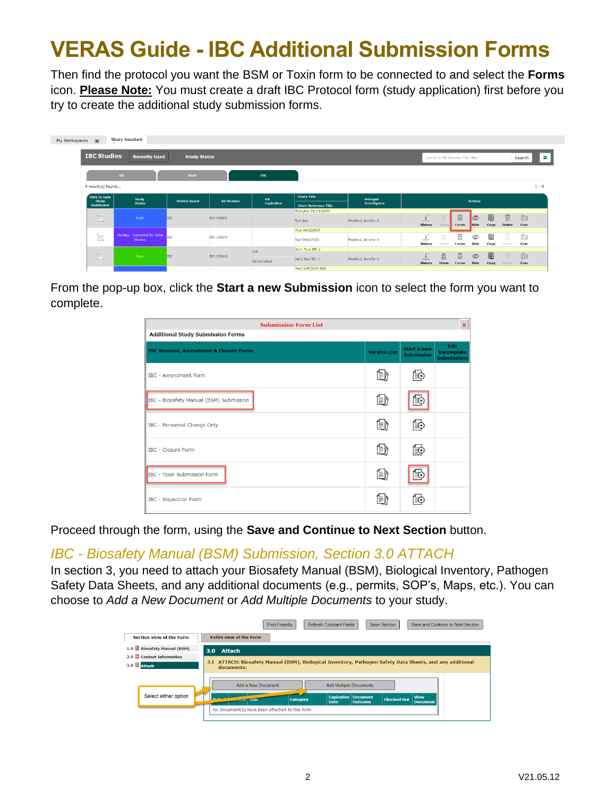Then find the protocol you want the BSM or Toxin form to be connected to and select the **Forms** icon. **Please Note:** You must create a draft IBC Protocol form (study application) first before you try to create the additional study submission forms.

| My Workspaces a               | <b>Study Assistant</b>                    |                         |                  |                                |                              |                     |                                     |                |                                    |             |                              |        |             |
|-------------------------------|-------------------------------------------|-------------------------|------------------|--------------------------------|------------------------------|---------------------|-------------------------------------|----------------|------------------------------------|-------------|------------------------------|--------|-------------|
| <b>IBC Studies</b>            | <b>Recently Used</b>                      | <b>Study Status</b>     |                  |                                |                              |                     |                                     |                | Search for RB Number, Title, Alias |             |                              |        | 寮<br>Search |
|                               | AL                                        | Draft                   |                  | <b>IBC</b>                     |                              |                     |                                     |                |                                    |             |                              |        |             |
| 9 result(s) found             |                                           |                         |                  |                                |                              |                     |                                     |                |                                    |             |                              |        | $1 - 9$     |
| <b>Click to open</b><br>Study | Study                                     | <b>Review Board</b>     | <b>RB Number</b> | $\mathbf{RB}$                  | <b>Study Title</b>           | Principal           |                                     | <b>Actions</b> |                                    |             |                              |        |             |
| <b>Dashboard</b>              | <b>Status</b>                             |                         |                  | Expiration                     | <b>Short Reference Title</b> | Investigator        |                                     |                |                                    |             |                              |        |             |
|                               |                                           |                         |                  |                                | Test jkm 05/13/2020          |                     |                                     |                |                                    |             |                              |        |             |
| N                             | Draft                                     | <b>IBC</b>              | IBC-20022        |                                | Test jkm                     | Meekhof, Jennifer K | $\cdot$ +<br>$\frac{1}{2}$          |                | 圁                                  | $\infty$    | 目                            | Ŵ.     | ė,          |
|                               |                                           |                         |                  |                                |                              |                     | History                             | Item           | Forms                              | <b>Hide</b> | Copy                         | Delete | Corr        |
|                               |                                           |                         |                  | Test 06022020                  |                              |                     |                                     |                |                                    |             |                              |        |             |
| $\sum_{i=1}^{n}$              | Pending - Submitted for Initial<br>Review | <b>IBC</b>              | IBC-20029        |                                | Test 06022020                | Meekhof, Jennifer K | પ<br>__                             | X              | 圁                                  | Ø           | $\qquad \qquad \blacksquare$ | Ŵ      | iä          |
|                               |                                           |                         |                  |                                |                              |                     | History                             | Items          | Forms                              | Hide        | Copy                         | Delete | Corr        |
|                               | $\mathbb{Z}$<br>Open                      | <b>IBC</b><br>IBC-20010 | null             |                                | Jen's Test IBC 1             |                     |                                     |                |                                    |             |                              |        |             |
|                               |                                           |                         |                  |                                |                              |                     | $\cdot$ $\cdot$<br>↓                | $^{\circledR}$ | 圁                                  | Ø           | $\qquad \qquad \blacksquare$ |        | ė.          |
|                               |                                           |                         |                  | Jen's Test IBC 1<br>05/16/2020 |                              | Meekhof, Jennifer K | $\overline{\phantom{a}}$<br>History | <b>Items</b>   | Forms                              | Hide        | Copy                         | Delete | Corr        |
|                               |                                           |                         |                  |                                | Test 5/8/2020 BME            |                     |                                     |                |                                    |             |                              |        |             |

From the pop-up box, click the **Start a new Submission** icon to select the form you want to complete.

| <b>Submission Form List</b><br>$\mathbf x$        |                     |                                  |                                                 |  |  |  |  |
|---------------------------------------------------|---------------------|----------------------------------|-------------------------------------------------|--|--|--|--|
| <b>Additional Study Submission Forms</b>          |                     |                                  |                                                 |  |  |  |  |
| <b>IBC Renewal, Amendment &amp; Closure Forms</b> | <b>Version List</b> | Start a new<br><b>Submission</b> | Edit<br><b>Incomplete</b><br><b>Submissions</b> |  |  |  |  |
| <b>IBC - Amendment Form</b>                       | 働                   | Ē€                               |                                                 |  |  |  |  |
| IBC - Biosafety Manual (BSM) Submission           | 働                   | ≀≦(+                             |                                                 |  |  |  |  |
| IBC - Personnel Change Only                       | 働                   | ľ€                               |                                                 |  |  |  |  |
| IBC - Closure Form                                | 働                   | [≣⊕                              |                                                 |  |  |  |  |
| IBC - Toxin Submission Form                       | 働                   |                                  |                                                 |  |  |  |  |
| IBC - Inspection Form                             | 目的                  | ∣≣⊕                              |                                                 |  |  |  |  |

Proceed through the form, using the **Save and Continue to Next Section** button.

#### *IBC - Biosafety Manual (BSM) Submission, Section 3.0 ATTACH*

In section 3, you need to attach your Biosafety Manual (BSM), Biological Inventory, Pathogen Safety Data Sheets, and any additional documents (e.g., permits, SOP's, Maps, etc.). You can choose to *Add a New Document* or *Add Multiple Documents* to your study.

|                            | <b>Print Friendly</b><br><b>Refresh Constant Fields</b><br><b>Save Section</b><br>Save and Continue to Next Section |
|----------------------------|---------------------------------------------------------------------------------------------------------------------|
| Section view of the Form   | <b>Entire view of the Form</b>                                                                                      |
| 1.0 Biosafety Manual (BSM) | 3.0<br>Attach                                                                                                       |
| 2.0 Contact Information    | 3.1 ATTACH: Biosafety Manual (BSM), Biological Inventory, Pathogen Safety Data Sheets, and any additional           |
| 3.0 attach                 | documents.                                                                                                          |
|                            |                                                                                                                     |
|                            | Add a New Document<br><b>Add Multiple Documents</b>                                                                 |
| Select either option       | <b>View</b><br><b>Expiration Document</b>                                                                           |
|                            | <b>Checked Out</b><br>Category<br>Outcome<br><b>Document</b><br><b>Date</b>                                         |
|                            | No Document(s) have been attached to this form.                                                                     |
|                            |                                                                                                                     |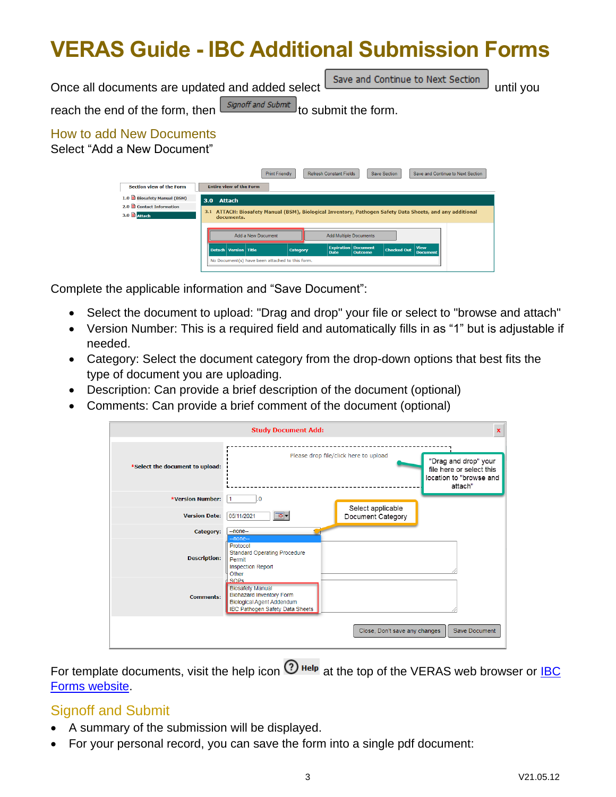Once all documents are updated and added select  $\Box$  Save and Continue to Next Section  $\Box$  until you reach the end of the form, then  $\sqrt{\frac{Signoff~and~Submit}{}}$  to submit the form. How to add New Documents Select "Add a New Document" Refresh Constant Fields Save Section Save and Continue to Next Section Print Friendly Section view of the Form Entire view of the Form 1.0 Biosafety Manual (BSM) 3.0 Attach 2.0 **B** Contact Information 3.1 ATTACH: Biosafety Manual (BSM), Biological Inventory, Pathogen Safety Data Sheets, and any additional  $3.0$  **D**  $atrach$ Add Multiple Documents Add a New Document **Checked Out** to Document(s) have been attached to this fo

Complete the applicable information and "Save Document":

- Select the document to upload: "Drag and drop" your file or select to "browse and attach"
- Version Number: This is a required field and automatically fills in as "1" but is adjustable if needed.
- Category: Select the document category from the drop-down options that best fits the type of document you are uploading.
- Description: Can provide a brief description of the document (optional)
- Comments: Can provide a brief comment of the document (optional)

|                                 | <b>Study Document Add:</b>                                                                                                                              |                                        | $\mathbf x$                                                                            |
|---------------------------------|---------------------------------------------------------------------------------------------------------------------------------------------------------|----------------------------------------|----------------------------------------------------------------------------------------|
| *Select the document to upload: |                                                                                                                                                         | Please drop file/click here to upload  | "Drag and drop" your<br>file here or select this<br>location to "browse and<br>attach" |
| <b>*Version Number:</b>         | 0.<br>1                                                                                                                                                 |                                        |                                                                                        |
| <b>Version Date:</b>            | ত-<br>05/11/2021                                                                                                                                        | Select applicable<br>Document Category |                                                                                        |
| Category:                       | $-$ none $-$                                                                                                                                            |                                        |                                                                                        |
| <b>Description:</b>             | -none-<br>Protocol<br><b>Standard Operating Procedure</b><br>Permit<br><b>Inspection Report</b><br>Other                                                |                                        |                                                                                        |
| <b>Comments:</b>                | <b>SOPS</b><br><b>Biosafety Manual</b><br><b>Biohazard Inventory Form</b><br><b>Biological Agent Addendum</b><br><b>IBC Pathogen Safety Data Sheets</b> |                                        |                                                                                        |
|                                 |                                                                                                                                                         | Close, Don't save any changes          | Save Document                                                                          |

For template documents, visit the help icon  $\odot$  Help at the top of the VERAS web browser or IBC [Forms website.](https://www.uidaho.edu/research/faculty/research-assurances/biosafety/biosafety-forms/forms)

#### Signoff and Submit

- A summary of the submission will be displayed.
- For your personal record, you can save the form into a single pdf document: